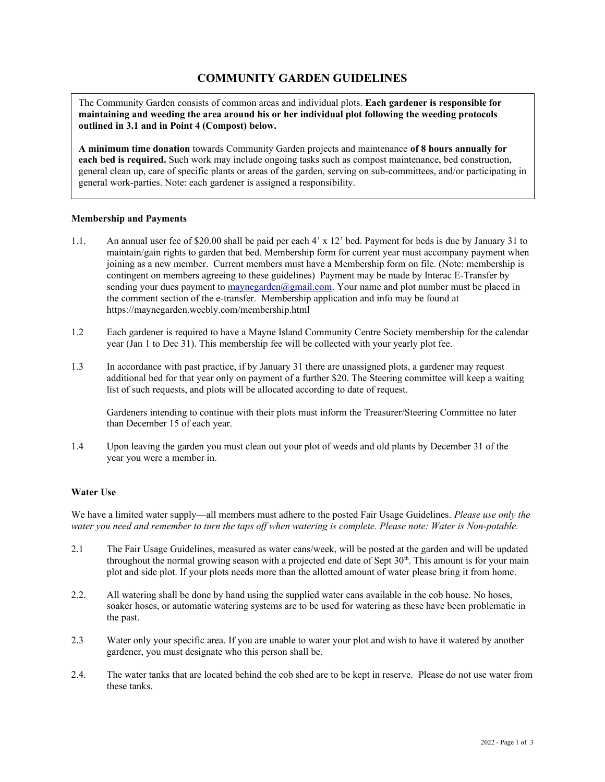# **COMMUNITY GARDEN GUIDELINES**

The Community Garden consists of common areas and individual plots. **Each gardener is responsible for maintaining and weeding the area around his or her individual plot following the weeding protocols outlined in 3.1 and in Point 4 (Compost) below.** 

**A minimum time donation** towards Community Garden projects and maintenance **of 8 hours annually for each bed is required.** Such work may include ongoing tasks such as compost maintenance, bed construction, general clean up, care of specific plants or areas of the garden, serving on sub-committees, and/or participating in general work-parties. Note: each gardener is assigned a responsibility.

# **Membership and Payments**

- 1.1. An annual user fee of \$20.00 shall be paid per each 4' x 12' bed. Payment for beds is due by January 31 to maintain/gain rights to garden that bed. Membership form for current year must accompany payment when joining as a new member. Current members must have a Membership form on file. (Note: membership is contingent on members agreeing to these guidelines) Payment may be made by Interac E-Transfer by sending your dues payment to  $\frac{marg\{1, com\}}{marg\{1, com\}}$ . Your name and plot number must be placed in the comment section of the e-transfer. Membership application and info may be found at https://maynegarden.weebly.com/membership.html
- 1.2 Each gardener is required to have a Mayne Island Community Centre Society membership for the calendar year (Jan 1 to Dec 31). This membership fee will be collected with your yearly plot fee.
- 1.3 In accordance with past practice, if by January 31 there are unassigned plots, a gardener may request additional bed for that year only on payment of a further \$20. The Steering committee will keep a waiting list of such requests, and plots will be allocated according to date of request.

Gardeners intending to continue with their plots must inform the Treasurer/Steering Committee no later than December 15 of each year.

1.4 Upon leaving the garden you must clean out your plot of weeds and old plants by December 31 of the year you were a member in.

# **Water Use**

We have a limited water supply—all members must adhere to the posted Fair Usage Guidelines. *Please use only the water you need and remember to turn the taps off when watering is complete. Please note: Water is Non-potable.*

- 2.1 The Fair Usage Guidelines, measured as water cans/week, will be posted at the garden and will be updated throughout the normal growing season with a projected end date of Sept  $30<sup>th</sup>$ . This amount is for your main plot and side plot. If your plots needs more than the allotted amount of water please bring it from home.
- 2.2. All watering shall be done by hand using the supplied water cans available in the cob house. No hoses, soaker hoses, or automatic watering systems are to be used for watering as these have been problematic in the past.
- 2.3 Water only your specific area. If you are unable to water your plot and wish to have it watered by another gardener, you must designate who this person shall be.
- 2.4. The water tanks that are located behind the cob shed are to be kept in reserve. Please do not use water from these tanks.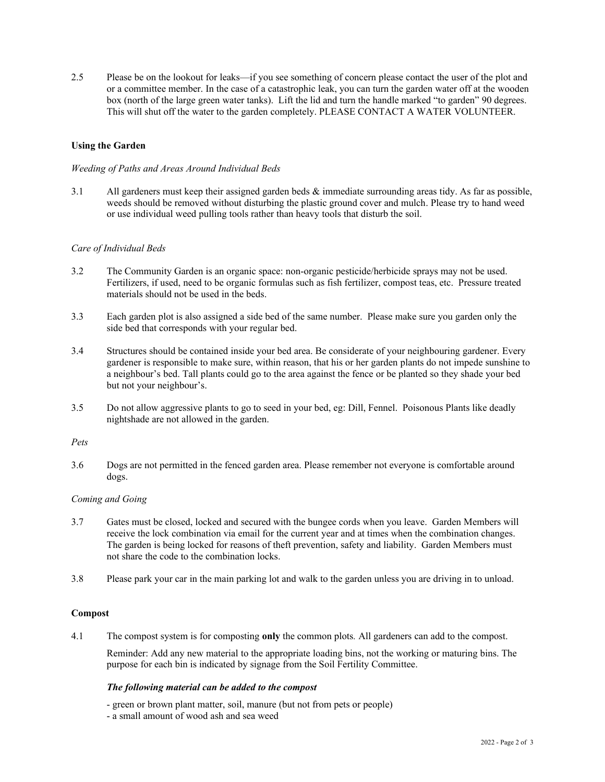2.5 Please be on the lookout for leaks—if you see something of concern please contact the user of the plot and or a committee member. In the case of a catastrophic leak, you can turn the garden water off at the wooden box (north of the large green water tanks). Lift the lid and turn the handle marked "to garden" 90 degrees. This will shut off the water to the garden completely. PLEASE CONTACT A WATER VOLUNTEER.

# **Using the Garden**

### *Weeding of Paths and Areas Around Individual Beds*

3.1 All gardeners must keep their assigned garden beds & immediate surrounding areas tidy. As far as possible, weeds should be removed without disturbing the plastic ground cover and mulch. Please try to hand weed or use individual weed pulling tools rather than heavy tools that disturb the soil.

### *Care of Individual Beds*

- 3.2 The Community Garden is an organic space: non-organic pesticide/herbicide sprays may not be used. Fertilizers, if used, need to be organic formulas such as fish fertilizer, compost teas, etc. Pressure treated materials should not be used in the beds.
- 3.3 Each garden plot is also assigned a side bed of the same number. Please make sure you garden only the side bed that corresponds with your regular bed.
- 3.4 Structures should be contained inside your bed area. Be considerate of your neighbouring gardener. Every gardener is responsible to make sure, within reason, that his or her garden plants do not impede sunshine to a neighbour's bed. Tall plants could go to the area against the fence or be planted so they shade your bed but not your neighbour's.
- 3.5 Do not allow aggressive plants to go to seed in your bed, eg: Dill, Fennel. Poisonous Plants like deadly nightshade are not allowed in the garden.

#### *Pets*

3.6 Dogs are not permitted in the fenced garden area. Please remember not everyone is comfortable around dogs.

### *Coming and Going*

- 3.7 Gates must be closed, locked and secured with the bungee cords when you leave. Garden Members will receive the lock combination via email for the current year and at times when the combination changes. The garden is being locked for reasons of theft prevention, safety and liability. Garden Members must not share the code to the combination locks.
- 3.8 Please park your car in the main parking lot and walk to the garden unless you are driving in to unload.

# **Compost**

4.1 The compost system is for composting **only** the common plots*.* All gardeners can add to the compost.

Reminder: Add any new material to the appropriate loading bins, not the working or maturing bins. The purpose for each bin is indicated by signage from the Soil Fertility Committee.

#### *The following material can be added to the compost*

- green or brown plant matter, soil, manure (but not from pets or people)
- a small amount of wood ash and sea weed